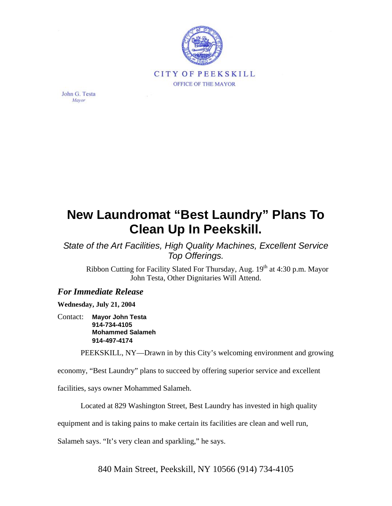

John G. Testa Mayor

## **New Laundromat "Best Laundry" Plans To Clean Up In Peekskill.**

*State of the Art Facilities, High Quality Machines, Excellent Service Top Offerings.*

Ribbon Cutting for Facility Slated For Thursday, Aug. 19<sup>th</sup> at 4:30 p.m. Mayor John Testa, Other Dignitaries Will Attend.

## *For Immediate Release*

**Wednesday, July 21, 2004** 

Contact: **Mayor John Testa 914-734-4105 Mohammed Salameh 914-497-4174**

PEEKSKILL, NY—Drawn in by this City's welcoming environment and growing

economy, "Best Laundry" plans to succeed by offering superior service and excellent

facilities, says owner Mohammed Salameh.

Located at 829 Washington Street, Best Laundry has invested in high quality

equipment and is taking pains to make certain its facilities are clean and well run,

Salameh says. "It's very clean and sparkling," he says.

840 Main Street, Peekskill, NY 10566 (914) 734-4105